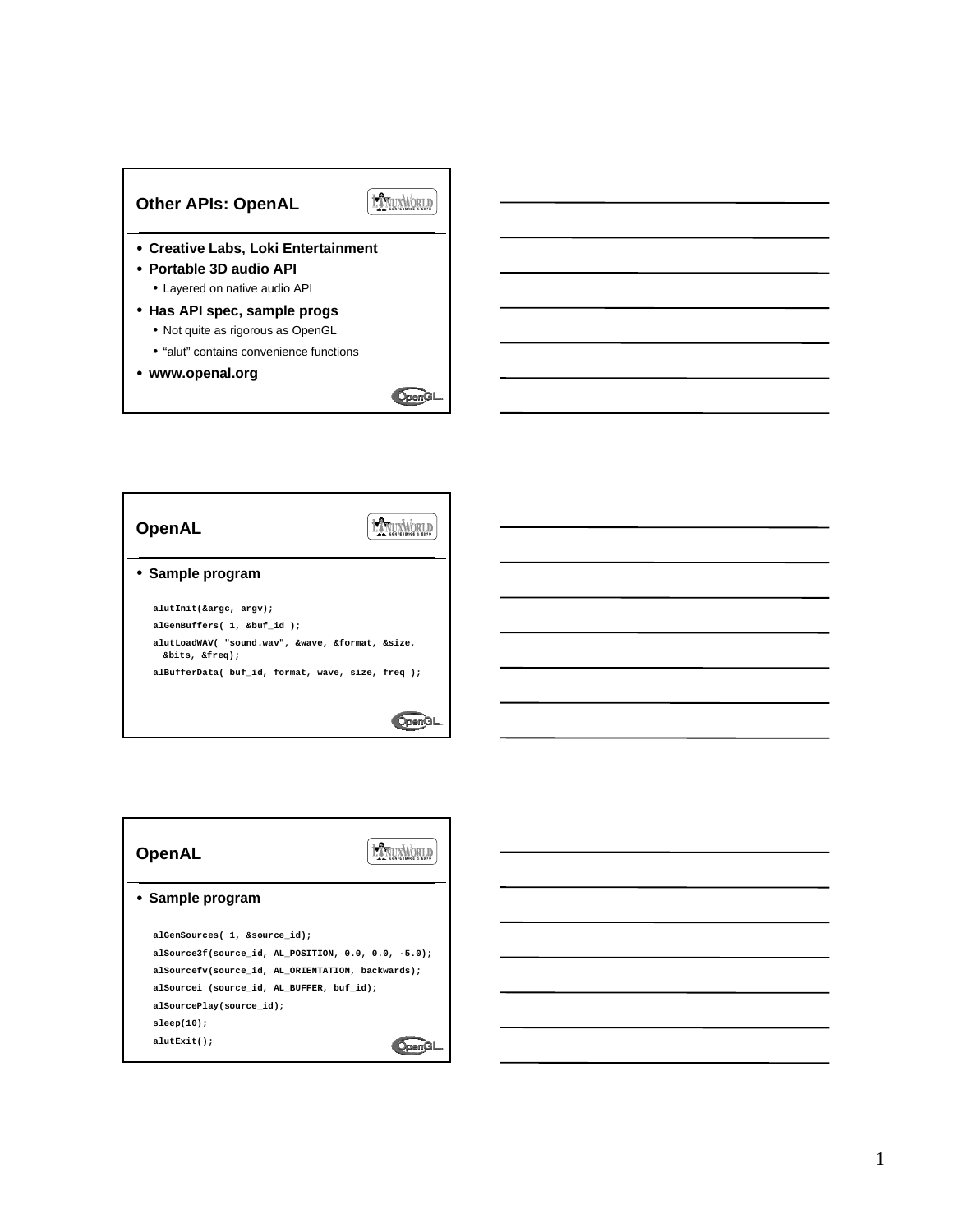

| OpenAL                                                             |  |
|--------------------------------------------------------------------|--|
| • Sample program                                                   |  |
| alutInit(&argc, argv);                                             |  |
| alGenBuffers( 1, &buf id );                                        |  |
| alutLoadWAV( "sound.wav", &wave, &format, &size,<br>&bits, &freq); |  |
| alBufferData( buf id, format, wave, size, freq );                  |  |
|                                                                    |  |
|                                                                    |  |

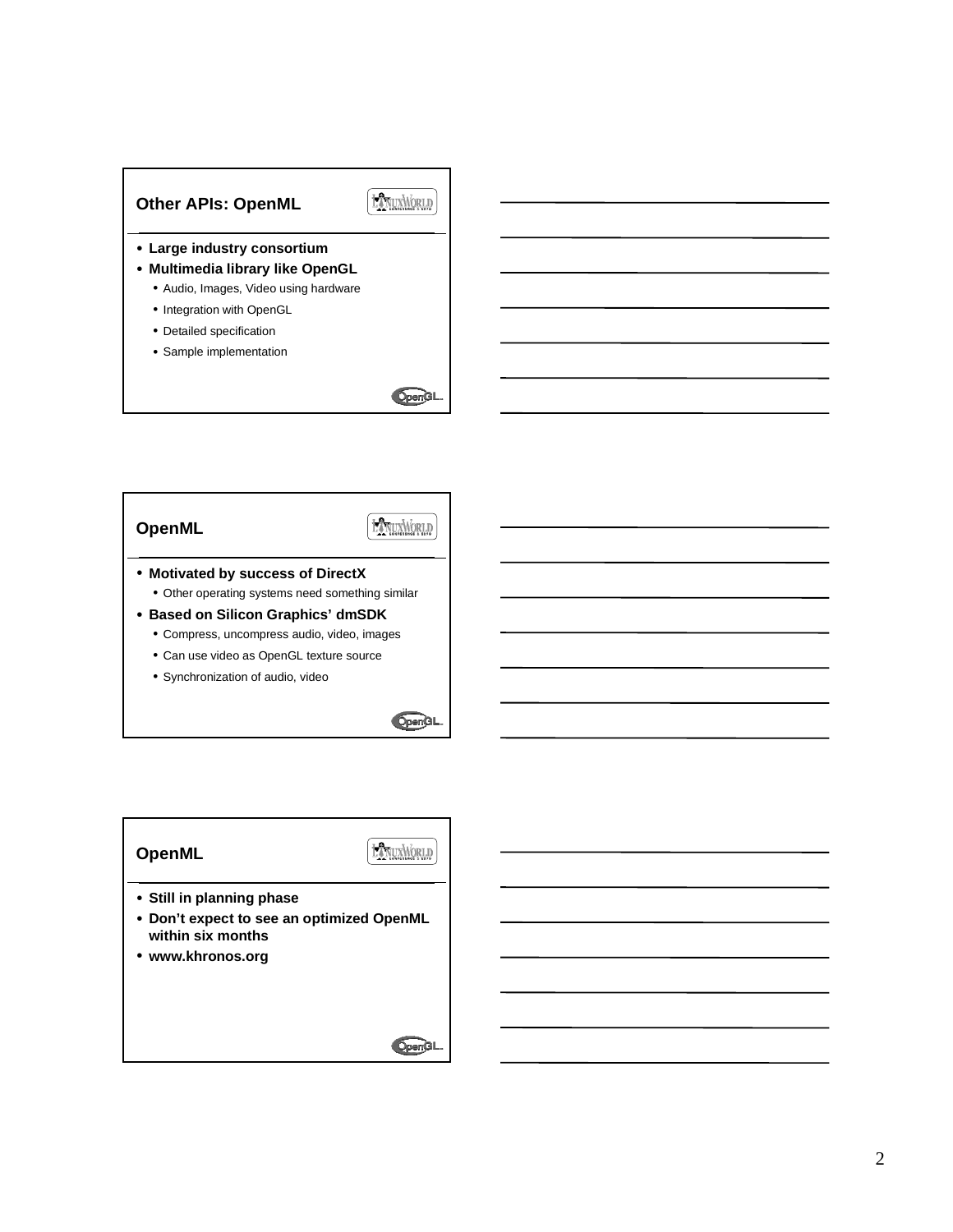

• Sample implementation



## **OpenML**

**HANUXWORLD** 

- **Motivated by success of DirectX** • Other operating systems need something similar
- **Based on Silicon Graphics' dmSDK**
	- Compress, uncompress audio, video, images
	- Can use video as OpenGL texture source
	- Synchronization of audio, video



## **OpenML**

LANUXMORLD

- **Still in planning phase**
- **Don't expect to see an optimized OpenML within six months**
- **www.khronos.org**